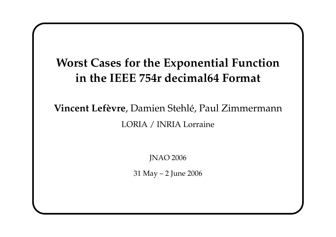# **Worst Cases for the Exponential Function in the IEEE 754r decimal64 Format**

# **Vincent Lefèvre**, Damien Stehlé, Paul Zimmermann LORIA / INRIA Lorraine

JNAO 2006

31 May – 2 June 2006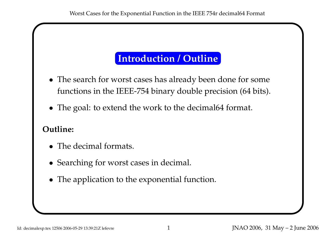# **Introduction / Outline**

- The search for worst cases has already been done for some functions in the IEEE-754 binary double precision (64 bits).
- The goal: to extend the work to the decimal64 format.

#### **Outline:**

- The decimal formats.
- Searching for worst cases in decimal.
- The application to the exponential function.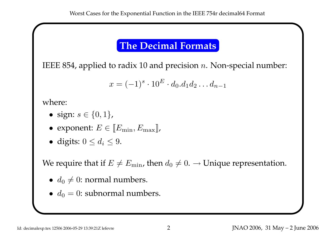# **The Decimal Formats**

IEEE 854, applied to radix 10 and precision  $n.$  Non-special number:

$$
x = (-1)^s \cdot 10^E \cdot d_0.d_1 d_2 \dots d_{n-1}
$$

where:

- sign:  $s \in \{0, 1\}$ ,
- exponent:  $E \in \llbracket E_{\text{min}}, E_{\text{max}} \rrbracket$ ,
- digits:  $0 \leq d_i \leq 9$ .

We require that if  $E \neq E_{\min}$ , then  $d_0 \neq 0$ .  $\rightarrow$  Unique representation.

- $\bullet$   $d_0 \neq 0$ : normal numbers.
- $\bullet$   $d_0 = 0$ : subnormal numbers.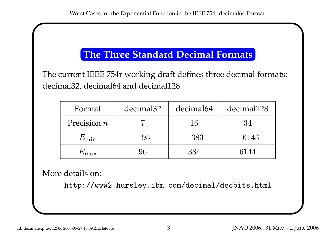# **The Three Standard Decimal Formats**

The current IEEE 754r working draft defines three decimal formats: decimal32, decimal64 and decimal128.

| Format        | decimal <sub>32</sub> | decimal64 | decimal128 |
|---------------|-----------------------|-----------|------------|
| Precision $n$ |                       | 16        | 34         |
| $E_{\rm min}$ | $-95$                 | $-383$    | $-6143$    |
| 'max          | 96                    | 384       | 6144       |

More details on:

http://www2.hursley.ibm.com/decimal/decbits.html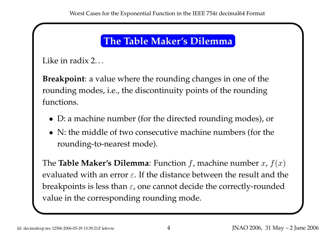# **The Table Maker's Dilemma**

Like in radix 2...

**Breakpoint**: <sup>a</sup> value where the rounding changes in one of the rounding modes, i.e., the discontinuity points of the rounding functions.

- D: <sup>a</sup> machine number (for the directed rounding modes), or
- N: the middle of two consecutive machine numbers (for the rounding-to-nearest mode).

The  ${\bf Table~Maker's~Dilemma:}$  Function  $f$ , machine number  $x$ ,  $f(x)$ evaluated with an error  $\varepsilon.$  If the distance between the result and the breakpoints is less than  $\varepsilon$ , one cannot decide the correctly-rounded value in the corresponding rounding mode.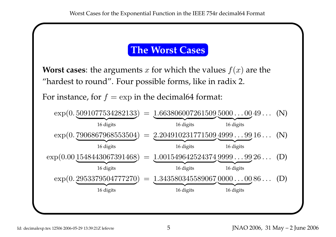#### **The Worst Cases**

**Worst cases:** the arguments  $x$  for which the values  $f(x)$  are the "hardest to round". Four possible forms, like in radix 2.

For instance, for  $f=\exp$  in the decimal64 format:

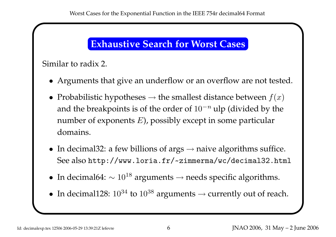# **Exhaustive Search for Worst Cases**

Similar to radix 2.

- Arguments that give an underflow or an overflow are not tested.
- Probabilistic hypotheses  $\rightarrow$  the smallest distance between  $f(x)$ and the breakpoints is of the order of  $10^{-n}$  ulp (divided by the number of exponents  $E$ ), possibly except in some particular domains.
- In decimal32: a few billions of  $args \rightarrow naive$  algorithms suffice. See also http://www.loria.fr/ ~zimmerma/wc/decimal32.html
- In decimal64:  $\sim 10^{18}$  arguments  $\rightarrow$  needs specific algorithms.
- In decimal128:  $10^{34}$  to  $10^{38}$  arguments  $\rightarrow$  currently out of reach.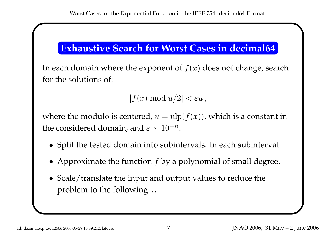## **Exhaustive Search for Worst Cases in decimal64**

In each domain where the exponent of  $f(x)$  does not change, search for the solutions of:

 $|f(x) \bmod u/2| < \varepsilon u$  ,

where the modulo is centered,  $u=\mathrm{ulp}(f(x))$ , which is a constant in the considered domain, and  $\varepsilon \sim 10^{-n}$ .

- Split the tested domain into subintervals. In each subinterval:
- Approximate the function  $f$  by a polynomial of small degree.
- Scale/translate the input and output values to reduce the problem to the following. . .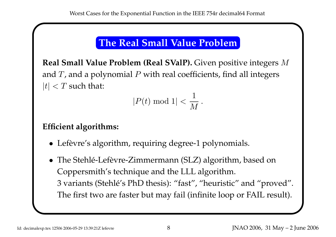# **The Real Small Value Problem**

**Real Small Value Problem (Real SValP).** Given positive integers M and  $T$ , and a polynomial  $P$  with real coefficients, find all integers  $|t| < T$  such that:

$$
|P(t) \bmod 1| < \frac{1}{M} \, .
$$

#### **Efficient algorithms:**

- Lefèvre's algorithm, requiring degree-1 polynomials.
- The Stehlé-Lefèvre-Zimmermann (SLZ) algorithm, based on Coppersmith's technique and the LLL algorithm. 3 variants (Stehlé's PhD thesis): "fast", "heuristic" and "proved". The first two are faster but may fail (infinite loop or FAIL result).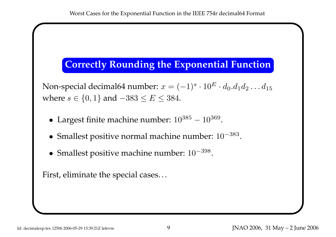### **Correctly Rounding the Exponential Function**

Non-special decimal64 number:  $x = (-1)^s \cdot 10^E \cdot d_0 . d_1 d_2 \ldots d_{15}$ where  $s \in \{0,1\}$  and  $-383 \leq E \leq 384$ .

- Largest finite machine number:  $10^{385} 10^{369}$ .
- Smallest positive normal machine number:  $10^{-383}$ .
- Smallest positive machine number:  $10^{-398}$ .

First, eliminate the special cases. . .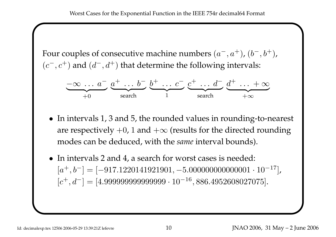Four couples of consecutive machine numbers  $(a^{-}, a^{-})$  $^{+}), (b^-, b^+),$  $(c^-, c)$ <sup>+</sup>) and  $(d^-, d^+)$  that determine the following intervals:

$$
\underbrace{-\infty \ldots a^{-}}_{+0} \underbrace{a^{+} \ldots b^{-}}_{\text{search}} \underbrace{b^{+} \ldots c^{-}}_{1} \underbrace{c^{+} \ldots d^{-}}_{\text{search}} \underbrace{d^{+} \ldots + \infty}_{+\infty}
$$

- In intervals 1, 3 and 5, the rounded values in rounding-to-nearest are respectively  $+0$ , 1 and  $+\infty$  (results for the directed rounding modes can be deduced, with the *same* interval bounds).
- In intervals 2 and 4, a search for worst cases is needed:  $[a^+,b^-] = [-917.1220141921901,-5.00000000000001\cdot10^{-17}],$  $\lbrack c^{+},d^{-}]=[4.99999999999999\cdot 10^{-16}, 886.4952608027075].$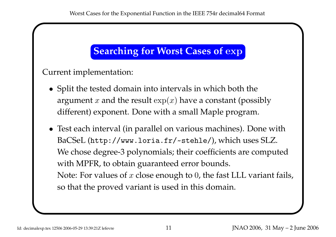# **Searching for Worst Cases of** exp

Current implementation:

- Split the tested domain into intervals in which both the argument  $x$  and the result  $\exp(x)$  have a constant (possibly different) exponent. Done with <sup>a</sup> small Maple program.
- Test each interval (in parallel on various machines). Done with BaCSeL (http://www.loria.fr/ ~stehle/), which uses SLZ. We chose degree-3 polynomials; their coefficients are computed with MPFR, to obtain guaranteed error bounds. Note: For values of  $x$  close enough to 0, the fast LLL variant fails, so that the proved variant is used in this domain.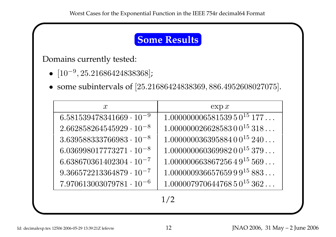## **Some Results**

Domains currently tested:

- $[10^{-9}, 25.21686424838368]$ ;
- some subintervals of [25.21686424838369, 886.4952608027075].

| $\mathcal{X}$                     | $\exp x$                      |  |
|-----------------------------------|-------------------------------|--|
| $6.581539478341669\cdot 10^{-9}$  | $1.00000000658153950^{15}177$ |  |
| $2.662858264545929\cdot 10^{-8}$  | $1.00000002662858300^{15}318$ |  |
| $3.639588333766983\cdot 10^{-8}$  | $1.00000003639588400^{15}240$ |  |
| $6.036998017773271 \cdot 10^{-8}$ | $1.00000006036998200^{15}379$ |  |
| $6.638670361402304 \cdot 10^{-7}$ | $1.00000066386725649^{15}569$ |  |
| $9.366572213364879\cdot 10^{-7}$  | $1.00000093665765999^{15}883$ |  |
| $7.970613003079781\cdot 10^{-6}$  | $1.00000797064476850^{15}362$ |  |
| 1/2                               |                               |  |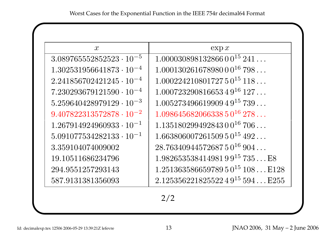| $\mathcal{X}$                     | $\exp x$                          |
|-----------------------------------|-----------------------------------|
| $3.089765552852523 \cdot 10^{-5}$ | $1.00003089813286600^{15}241$     |
| $1.302531956641873\cdot 10^{-4}$  | $1.00013026167898000^{16}798$     |
| $2.241856702421245\cdot 10^{-4}$  | $1.00022421080172750^{15}118$     |
| $7.230293679121590 \cdot 10^{-4}$ | $1.00072329081665349^{16}127$     |
| $5.259640428979129\cdot 10^{-3}$  | $1.00527349661990949^{15}739$     |
| $9.407822313572878 \cdot 10^{-2}$ | $1.09864568206633850^{16}278$     |
| $1.267914924960933 \cdot 10^{-1}$ | $1.13518029949284300^{16}706$     |
| $5.091077534282133\cdot 10^{-1}$  | $1.66380600726150950^{15}492$     |
| 3.359104074009002                 | $28.7634094457268750^{16}904$     |
| 19.10511686234796                 | $1.98265353841498199^{15}735$ E8  |
| 294.9551257293143                 | $1.25136358665978950^{15}108E128$ |
| 587.9131381356093                 | $2.12535622182552249^{15}594E255$ |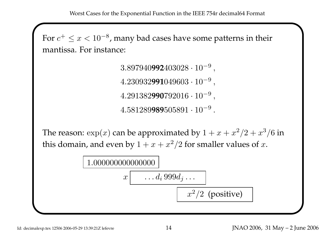Worst Cases for the Exponential Function in the IEEE 754r decimal64 Format

For  $c^{+} \leq x < 10^{-8}$ , many bad cases have some patterns in their mantissa. For instance:

> $3.897940$ **992** $403028\cdot10^{-9}$ ,  $4.230932$ **991** $049603\cdot10^{-9}$ , 4.291382**990**792016 · 10 − 9 ,  $4.581289$ **989** $505891\cdot10^{-9}$  .

The reason:  $\exp(x)$  can be approximated by  $1 + x + x^2/2 + x^3/6$  in this domain, and even by  $1 + x + x^2/2$  for smaller values of  $x$ .

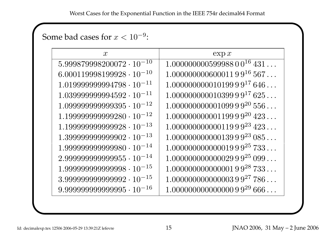### Some bad cases for  $x < 10^{-9}$ :

| $\mathcal{X}$                      | $\exp x$                      |
|------------------------------------|-------------------------------|
| $5.999879998200072 \cdot 10^{-10}$ | $1.00000000059998800^{16}431$ |
| $6.000119998199928 \cdot 10^{-10}$ | $1.00000000000001199^{16}567$ |
| $1.019999999994798 \cdot 10^{-11}$ | $1.00000000001019999^{17}646$ |
| $1.039999999994592 \cdot 10^{-11}$ | $1.00000000001039999^{17}625$ |
| $1.099999999999395 \cdot 10^{-12}$ | $1.00000000000109999^{20}556$ |
| $1.199999999999280 \cdot 10^{-12}$ | $1.00000000000119999^{20}423$ |
| $1.199999999999928 \cdot 10^{-13}$ | $1.00000000000011999^{23}423$ |
| $1.399999999999902 \cdot 10^{-13}$ | $1.00000000000013999^{23}085$ |
| $1.99999999999980 \cdot 10^{-14}$  | $1.00000000000001999^{25}733$ |
| $2.99999999999955 \cdot 10^{-14}$  | $1.00000000000002999^{25}099$ |
| $1.99999999999998 \cdot 10^{-15}$  | $1.00000000000000199^{28}733$ |
| $3.999999999999992 \cdot 10^{-15}$ | $1.00000000000000399^{27}786$ |
| $9.99999999999995 \cdot 10^{-16}$  | $1.00000000000000099^{29}666$ |